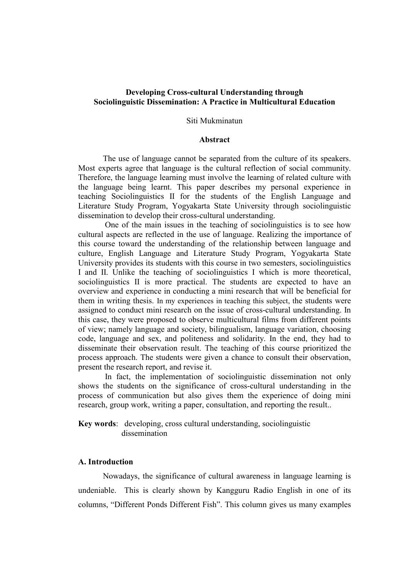## Developing Cross-cultural Understanding through Sociolinguistic Dissemination: A Practice in Multicultural Education

#### Siti Mukminatun

### Abstract

The use of language cannot be separated from the culture of its speakers. Most experts agree that language is the cultural reflection of social community. Therefore, the language learning must involve the learning of related culture with the language being learnt. This paper describes my personal experience in teaching Sociolinguistics II for the students of the English Language and Literature Study Program, Yogyakarta State University through sociolinguistic dissemination to develop their cross-cultural understanding.

 One of the main issues in the teaching of sociolinguistics is to see how cultural aspects are reflected in the use of language. Realizing the importance of this course toward the understanding of the relationship between language and culture, English Language and Literature Study Program, Yogyakarta State University provides its students with this course in two semesters, sociolinguistics I and II. Unlike the teaching of sociolinguistics I which is more theoretical, sociolinguistics II is more practical. The students are expected to have an overview and experience in conducting a mini research that will be beneficial for them in writing thesis. In my experiences in teaching this subject, the students were assigned to conduct mini research on the issue of cross-cultural understanding. In this case, they were proposed to observe multicultural films from different points of view; namely language and society, bilingualism, language variation, choosing code, language and sex, and politeness and solidarity. In the end, they had to disseminate their observation result. The teaching of this course prioritized the process approach. The students were given a chance to consult their observation, present the research report, and revise it.

 In fact, the implementation of sociolinguistic dissemination not only shows the students on the significance of cross-cultural understanding in the process of communication but also gives them the experience of doing mini research, group work, writing a paper, consultation, and reporting the result..

Key words: developing, cross cultural understanding, sociolinguistic dissemination

### A. Introduction

Nowadays, the significance of cultural awareness in language learning is undeniable. This is clearly shown by Kangguru Radio English in one of its columns, "Different Ponds Different Fish". This column gives us many examples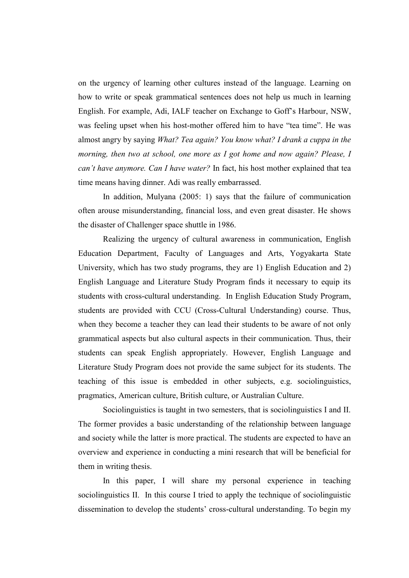on the urgency of learning other cultures instead of the language. Learning on how to write or speak grammatical sentences does not help us much in learning English. For example, Adi, IALF teacher on Exchange to Goff's Harbour, NSW, was feeling upset when his host-mother offered him to have "tea time". He was almost angry by saying What? Tea again? You know what? I drank a cuppa in the morning, then two at school, one more as I got home and now again? Please, I can't have anymore. Can I have water? In fact, his host mother explained that tea time means having dinner. Adi was really embarrassed.

In addition, Mulyana (2005: 1) says that the failure of communication often arouse misunderstanding, financial loss, and even great disaster. He shows the disaster of Challenger space shuttle in 1986.

Realizing the urgency of cultural awareness in communication, English Education Department, Faculty of Languages and Arts, Yogyakarta State University, which has two study programs, they are 1) English Education and 2) English Language and Literature Study Program finds it necessary to equip its students with cross-cultural understanding. In English Education Study Program, students are provided with CCU (Cross-Cultural Understanding) course. Thus, when they become a teacher they can lead their students to be aware of not only grammatical aspects but also cultural aspects in their communication. Thus, their students can speak English appropriately. However, English Language and Literature Study Program does not provide the same subject for its students. The teaching of this issue is embedded in other subjects, e.g. sociolinguistics, pragmatics, American culture, British culture, or Australian Culture.

Sociolinguistics is taught in two semesters, that is sociolinguistics I and II. The former provides a basic understanding of the relationship between language and society while the latter is more practical. The students are expected to have an overview and experience in conducting a mini research that will be beneficial for them in writing thesis.

In this paper, I will share my personal experience in teaching sociolinguistics II. In this course I tried to apply the technique of sociolinguistic dissemination to develop the students' cross-cultural understanding. To begin my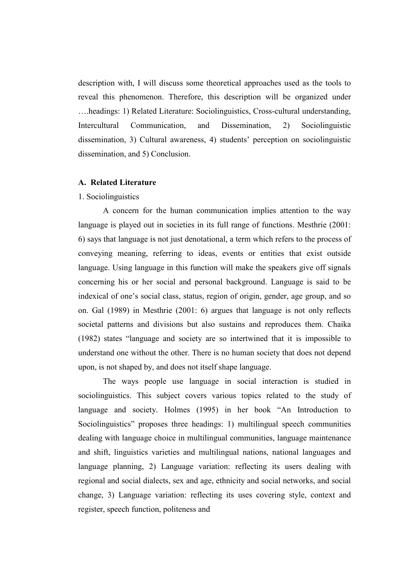description with, I will discuss some theoretical approaches used as the tools to reveal this phenomenon. Therefore, this description will be organized under ….headings: 1) Related Literature: Sociolinguistics, Cross-cultural understanding, Intercultural Communication, and Dissemination, 2) Sociolinguistic dissemination, 3) Cultural awareness, 4) students' perception on sociolinguistic dissemination, and 5) Conclusion.

### A. Related Literature

#### 1. Sociolinguistics

 A concern for the human communication implies attention to the way language is played out in societies in its full range of functions. Mesthrie  $(2001)$ : 6) says that language is not just denotational, a term which refers to the process of conveying meaning, referring to ideas, events or entities that exist outside language. Using language in this function will make the speakers give off signals concerning his or her social and personal background. Language is said to be indexical of one's social class, status, region of origin, gender, age group, and so on. Gal (1989) in Mesthrie (2001: 6) argues that language is not only reflects societal patterns and divisions but also sustains and reproduces them. Chaika (1982) states "language and society are so intertwined that it is impossible to understand one without the other. There is no human society that does not depend upon, is not shaped by, and does not itself shape language.

The ways people use language in social interaction is studied in sociolinguistics. This subject covers various topics related to the study of language and society. Holmes (1995) in her book "An Introduction to Sociolinguistics" proposes three headings: 1) multilingual speech communities dealing with language choice in multilingual communities, language maintenance and shift, linguistics varieties and multilingual nations, national languages and language planning, 2) Language variation: reflecting its users dealing with regional and social dialects, sex and age, ethnicity and social networks, and social change, 3) Language variation: reflecting its uses covering style, context and register, speech function, politeness and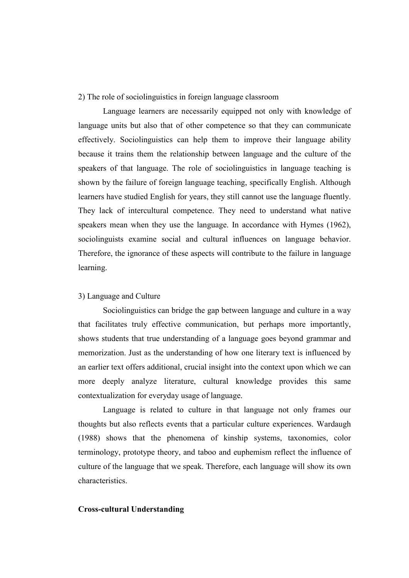2) The role of sociolinguistics in foreign language classroom

 Language learners are necessarily equipped not only with knowledge of language units but also that of other competence so that they can communicate effectively. Sociolinguistics can help them to improve their language ability because it trains them the relationship between language and the culture of the speakers of that language. The role of sociolinguistics in language teaching is shown by the failure of foreign language teaching, specifically English. Although learners have studied English for years, they still cannot use the language fluently. They lack of intercultural competence. They need to understand what native speakers mean when they use the language. In accordance with Hymes (1962), sociolinguists examine social and cultural influences on language behavior. Therefore, the ignorance of these aspects will contribute to the failure in language learning.

### 3) Language and Culture

Sociolinguistics can bridge the gap between language and culture in a way that facilitates truly effective communication, but perhaps more importantly, shows students that true understanding of a language goes beyond grammar and memorization. Just as the understanding of how one literary text is influenced by an earlier text offers additional, crucial insight into the context upon which we can more deeply analyze literature, cultural knowledge provides this same contextualization for everyday usage of language.

Language is related to culture in that language not only frames our thoughts but also reflects events that a particular culture experiences. Wardaugh (1988) shows that the phenomena of kinship systems, taxonomies, color terminology, prototype theory, and taboo and euphemism reflect the influence of culture of the language that we speak. Therefore, each language will show its own characteristics.

### Cross-cultural Understanding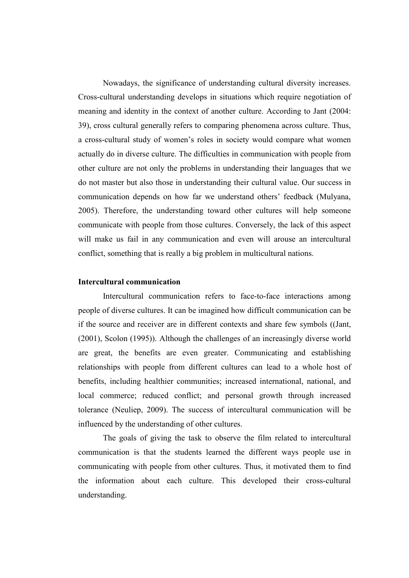Nowadays, the significance of understanding cultural diversity increases. Cross-cultural understanding develops in situations which require negotiation of meaning and identity in the context of another culture. According to Jant (2004: 39), cross cultural generally refers to comparing phenomena across culture. Thus, a cross-cultural study of women's roles in society would compare what women actually do in diverse culture. The difficulties in communication with people from other culture are not only the problems in understanding their languages that we do not master but also those in understanding their cultural value. Our success in communication depends on how far we understand others' feedback (Mulyana, 2005). Therefore, the understanding toward other cultures will help someone communicate with people from those cultures. Conversely, the lack of this aspect will make us fail in any communication and even will arouse an intercultural conflict, something that is really a big problem in multicultural nations.

## Intercultural communication

Intercultural communication refers to face-to-face interactions among people of diverse cultures. It can be imagined how difficult communication can be if the source and receiver are in different contexts and share few symbols ((Jant, (2001), Scolon (1995)). Although the challenges of an increasingly diverse world are great, the benefits are even greater. Communicating and establishing relationships with people from different cultures can lead to a whole host of benefits, including healthier communities; increased international, national, and local commerce; reduced conflict; and personal growth through increased tolerance (Neuliep, 2009). The success of intercultural communication will be influenced by the understanding of other cultures.

 The goals of giving the task to observe the film related to intercultural communication is that the students learned the different ways people use in communicating with people from other cultures. Thus, it motivated them to find the information about each culture. This developed their cross-cultural understanding.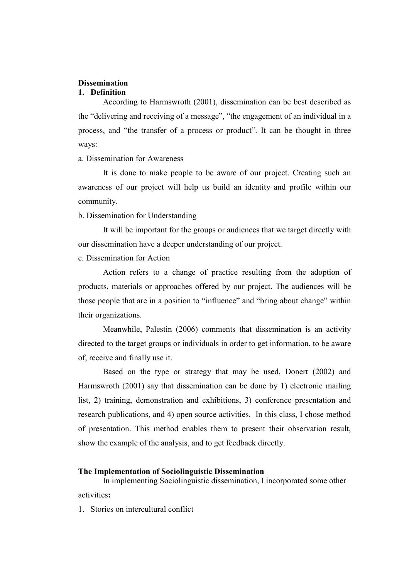## **Dissemination**

#### 1. Definition

According to Harmswroth (2001), dissemination can be best described as the "delivering and receiving of a message", "the engagement of an individual in a process, and "the transfer of a process or product". It can be thought in three ways:

a. Dissemination for Awareness

It is done to make people to be aware of our project. Creating such an awareness of our project will help us build an identity and profile within our community.

b. Dissemination for Understanding

It will be important for the groups or audiences that we target directly with our dissemination have a deeper understanding of our project.

c. Dissemination for Action

Action refers to a change of practice resulting from the adoption of products, materials or approaches offered by our project. The audiences will be those people that are in a position to "influence" and "bring about change" within their organizations.

Meanwhile, Palestin (2006) comments that dissemination is an activity directed to the target groups or individuals in order to get information, to be aware of, receive and finally use it.

Based on the type or strategy that may be used, Donert (2002) and Harmswroth (2001) say that dissemination can be done by 1) electronic mailing list, 2) training, demonstration and exhibitions, 3) conference presentation and research publications, and 4) open source activities. In this class, I chose method of presentation. This method enables them to present their observation result, show the example of the analysis, and to get feedback directly.

# The Implementation of Sociolinguistic Dissemination

In implementing Sociolinguistic dissemination, I incorporated some other activities:

1. Stories on intercultural conflict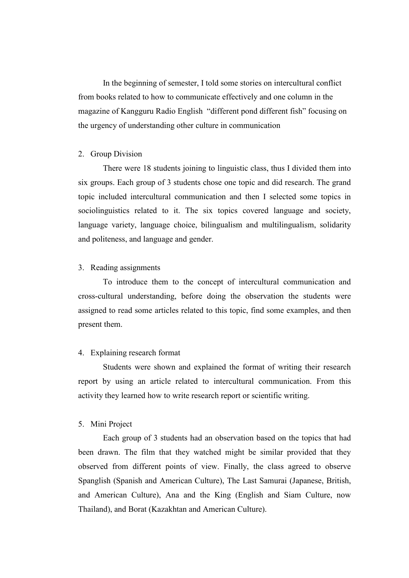In the beginning of semester, I told some stories on intercultural conflict from books related to how to communicate effectively and one column in the magazine of Kangguru Radio English "different pond different fish" focusing on the urgency of understanding other culture in communication

#### 2. Group Division

There were 18 students joining to linguistic class, thus I divided them into six groups. Each group of 3 students chose one topic and did research. The grand topic included intercultural communication and then I selected some topics in sociolinguistics related to it. The six topics covered language and society, language variety, language choice, bilingualism and multilingualism, solidarity and politeness, and language and gender.

## 3. Reading assignments

To introduce them to the concept of intercultural communication and cross-cultural understanding, before doing the observation the students were assigned to read some articles related to this topic, find some examples, and then present them.

#### 4. Explaining research format

Students were shown and explained the format of writing their research report by using an article related to intercultural communication. From this activity they learned how to write research report or scientific writing.

## 5. Mini Project

Each group of 3 students had an observation based on the topics that had been drawn. The film that they watched might be similar provided that they observed from different points of view. Finally, the class agreed to observe Spanglish (Spanish and American Culture), The Last Samurai (Japanese, British, and American Culture), Ana and the King (English and Siam Culture, now Thailand), and Borat (Kazakhtan and American Culture).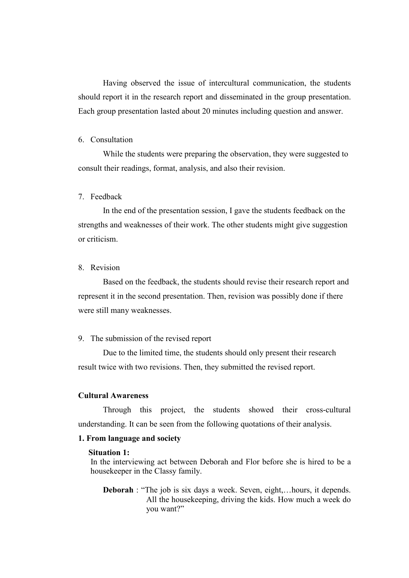Having observed the issue of intercultural communication, the students should report it in the research report and disseminated in the group presentation. Each group presentation lasted about 20 minutes including question and answer.

## 6. Consultation

While the students were preparing the observation, they were suggested to consult their readings, format, analysis, and also their revision.

# 7. Feedback

In the end of the presentation session, I gave the students feedback on the strengths and weaknesses of their work. The other students might give suggestion or criticism.

# 8. Revision

Based on the feedback, the students should revise their research report and represent it in the second presentation. Then, revision was possibly done if there were still many weaknesses.

### 9. The submission of the revised report

Due to the limited time, the students should only present their research result twice with two revisions. Then, they submitted the revised report.

## Cultural Awareness

Through this project, the students showed their cross-cultural understanding. It can be seen from the following quotations of their analysis.

### 1. From language and society

#### Situation 1:

 In the interviewing act between Deborah and Flor before she is hired to be a housekeeper in the Classy family.

Deborah : "The job is six days a week. Seven, eight,…hours, it depends. All the housekeeping, driving the kids. How much a week do you want?"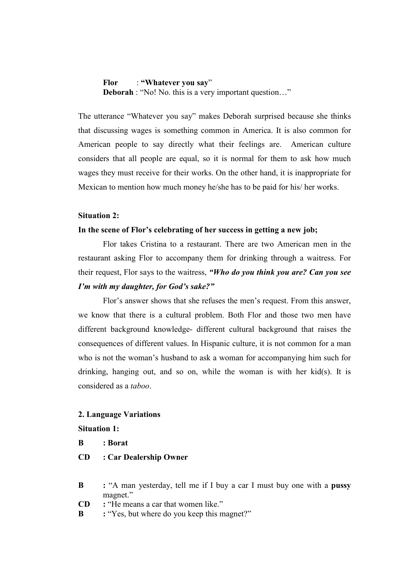Flor : "Whatever you say" Deborah : "No! No. this is a very important question..."

The utterance "Whatever you say" makes Deborah surprised because she thinks that discussing wages is something common in America. It is also common for American people to say directly what their feelings are. American culture considers that all people are equal, so it is normal for them to ask how much wages they must receive for their works. On the other hand, it is inappropriate for Mexican to mention how much money he/she has to be paid for his/ her works.

### Situation 2:

## In the scene of Flor's celebrating of her success in getting a new job;

Flor takes Cristina to a restaurant. There are two American men in the restaurant asking Flor to accompany them for drinking through a waitress. For their request, Flor says to the waitress, "Who do you think you are? Can you see I'm with my daughter, for God's sake?"

Flor's answer shows that she refuses the men's request. From this answer, we know that there is a cultural problem. Both Flor and those two men have different background knowledge- different cultural background that raises the consequences of different values. In Hispanic culture, it is not common for a man who is not the woman's husband to ask a woman for accompanying him such for drinking, hanging out, and so on, while the woman is with her kid(s). It is considered as a taboo.

### 2. Language Variations

Situation 1:

B : Borat

CD : Car Dealership Owner

- B : "A man vesterday, tell me if I buy a car I must buy one with a **pussy** magnet."
- CD : "He means a car that women like."
- B : "Yes, but where do you keep this magnet?"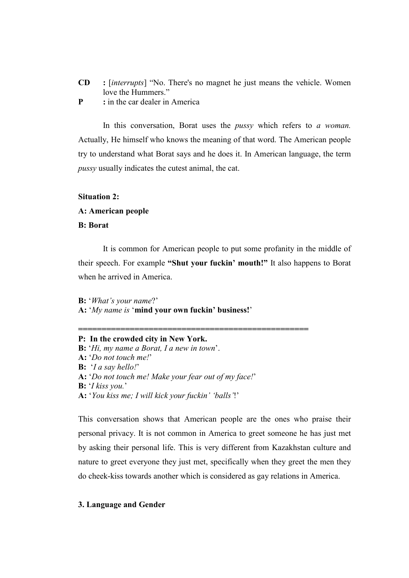- CD : [interrupts] "No. There's no magnet he just means the vehicle. Women love the Hummers."
- **P** : in the car dealer in America

In this conversation, Borat uses the *pussy* which refers to a woman. Actually, He himself who knows the meaning of that word. The American people try to understand what Borat says and he does it. In American language, the term pussy usually indicates the cutest animal, the cat.

## Situation 2:

#### A: American people

#### B: Borat

It is common for American people to put some profanity in the middle of their speech. For example "Shut your fuckin' mouth!" It also happens to Borat when he arrived in America.

B: 'What's your name?' A: 'My name is 'mind your own fuckin' business!'

P: In the crowded city in New York. B: 'Hi, my name a Borat, I a new in town'. A: 'Do not touch me!' **B:**  $'a$  say hello!' A: 'Do not touch me! Make your fear out of my face!' **B:**  $'I$  kiss you.' A: 'You kiss me; I will kick your fuckin' 'balls'!'

=================================================

This conversation shows that American people are the ones who praise their personal privacy. It is not common in America to greet someone he has just met by asking their personal life. This is very different from Kazakhstan culture and nature to greet everyone they just met, specifically when they greet the men they do cheek-kiss towards another which is considered as gay relations in America.

### 3. Language and Gender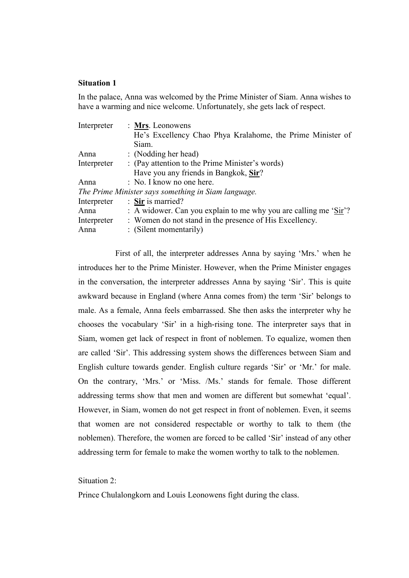### Situation 1

In the palace, Anna was welcomed by the Prime Minister of Siam. Anna wishes to have a warming and nice welcome. Unfortunately, she gets lack of respect.

| Interpreter | : Mrs. Leonowens                                                             |
|-------------|------------------------------------------------------------------------------|
|             | He's Excellency Chao Phya Kralahome, the Prime Minister of                   |
|             | Siam.                                                                        |
| Anna        | : (Nodding her head)                                                         |
| Interpreter | : (Pay attention to the Prime Minister's words)                              |
|             | Have you any friends in Bangkok, Sir?                                        |
| Anna        | : No. I know no one here.                                                    |
|             | The Prime Minister says something in Siam language.                          |
| Interpreter | : Sir is married?                                                            |
| Anna        | : A widower. Can you explain to me why you are calling me ' $\text{Sir'}$ '? |
| Interpreter | : Women do not stand in the presence of His Excellency.                      |
| Anna        | $\colon$ (Silent momentarily)                                                |

First of all, the interpreter addresses Anna by saying 'Mrs.' when he introduces her to the Prime Minister. However, when the Prime Minister engages in the conversation, the interpreter addresses Anna by saying 'Sir'. This is quite awkward because in England (where Anna comes from) the term 'Sir' belongs to male. As a female, Anna feels embarrassed. She then asks the interpreter why he chooses the vocabulary 'Sir' in a high-rising tone. The interpreter says that in Siam, women get lack of respect in front of noblemen. To equalize, women then are called 'Sir'. This addressing system shows the differences between Siam and English culture towards gender. English culture regards 'Sir' or 'Mr.' for male. On the contrary, 'Mrs.' or 'Miss. /Ms.' stands for female. Those different addressing terms show that men and women are different but somewhat 'equal'. However, in Siam, women do not get respect in front of noblemen. Even, it seems that women are not considered respectable or worthy to talk to them (the noblemen). Therefore, the women are forced to be called 'Sir' instead of any other addressing term for female to make the women worthy to talk to the noblemen.

Situation 2:

Prince Chulalongkorn and Louis Leonowens fight during the class.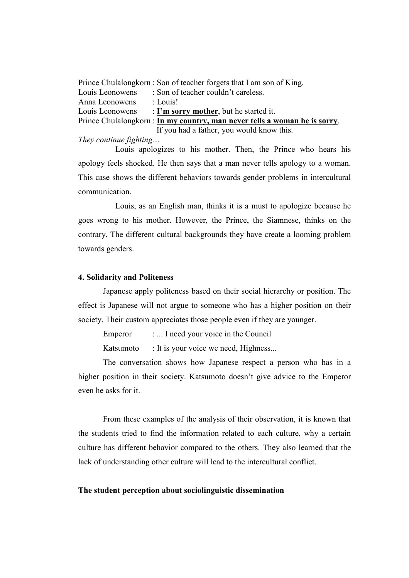|                                                                            | Prince Chulalongkorn : Son of teacher forgets that I am son of King. |  |
|----------------------------------------------------------------------------|----------------------------------------------------------------------|--|
| Louis Leonowens                                                            | : Son of teacher couldn't careless.                                  |  |
| Anna Leonowens                                                             | : Louis!                                                             |  |
| Louis Leonowens                                                            | $\therefore$ I'm sorry mother, but he started it.                    |  |
| Prince Chulalongkorn : In my country, man never tells a woman he is sorry. |                                                                      |  |
|                                                                            | If you had a father, you would know this.                            |  |

They continue fighting…

Louis apologizes to his mother. Then, the Prince who hears his apology feels shocked. He then says that a man never tells apology to a woman. This case shows the different behaviors towards gender problems in intercultural communication.

Louis, as an English man, thinks it is a must to apologize because he goes wrong to his mother. However, the Prince, the Siamnese, thinks on the contrary. The different cultural backgrounds they have create a looming problem towards genders.

### 4. Solidarity and Politeness

Japanese apply politeness based on their social hierarchy or position. The effect is Japanese will not argue to someone who has a higher position on their society. Their custom appreciates those people even if they are younger.

Emperor : ... I need your voice in the Council

Katsumoto : It is your voice we need, Highness...

The conversation shows how Japanese respect a person who has in a higher position in their society. Katsumoto doesn't give advice to the Emperor even he asks for it.

 From these examples of the analysis of their observation, it is known that the students tried to find the information related to each culture, why a certain culture has different behavior compared to the others. They also learned that the lack of understanding other culture will lead to the intercultural conflict.

#### The student perception about sociolinguistic dissemination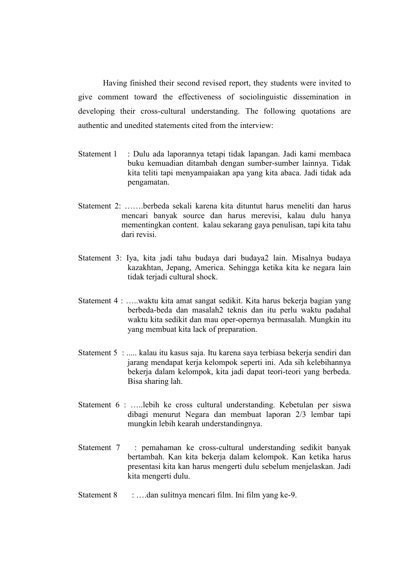Having finished their second revised report, they students were invited to give comment toward the effectiveness of sociolinguistic dissemination in developing their cross-cultural understanding. The following quotations are authentic and unedited statements cited from the interview:

- Statement 1 : Dulu ada laporannya tetapi tidak lapangan. Jadi kami membaca buku kemuadian ditambah dengan sumber-sumber lainnya. Tidak kita teliti tapi menyampaiakan apa yang kita abaca. Jadi tidak ada pengamatan.
- Statement 2: …….berbeda sekali karena kita dituntut harus meneliti dan harus mencari banyak source dan harus merevisi, kalau dulu hanya mementingkan content. kalau sekarang gaya penulisan, tapi kita tahu dari revisi.
- Statement 3: Iya, kita jadi tahu budaya dari budaya2 lain. Misalnya budaya kazakhtan, Jepang, America. Sehingga ketika kita ke negara lain tidak terjadi cultural shock.
- Statement 4 : …..waktu kita amat sangat sedikit. Kita harus bekerja bagian yang berbeda-beda dan masalah2 teknis dan itu perlu waktu padahal waktu kita sedikit dan mau oper-opernya bermasalah. Mungkin itu yang membuat kita lack of preparation.
- Statement 5 : ..... kalau itu kasus saja. Itu karena saya terbiasa bekerja sendiri dan jarang mendapat kerja kelompok seperti ini. Ada sih kelebihannya bekerja dalam kelompok, kita jadi dapat teori-teori yang berbeda. Bisa sharing lah.
- Statement 6 : …..lebih ke cross cultural understanding. Kebetulan per siswa dibagi menurut Negara dan membuat laporan 2/3 lembar tapi mungkin lebih kearah understandingnya.
- Statement 7 : pemahaman ke cross-cultural understanding sedikit banyak bertambah. Kan kita bekerja dalam kelompok. Kan ketika harus presentasi kita kan harus mengerti dulu sebelum menjelaskan. Jadi kita mengerti dulu.
- Statement 8 : ….dan sulitnya mencari film. Ini film yang ke-9.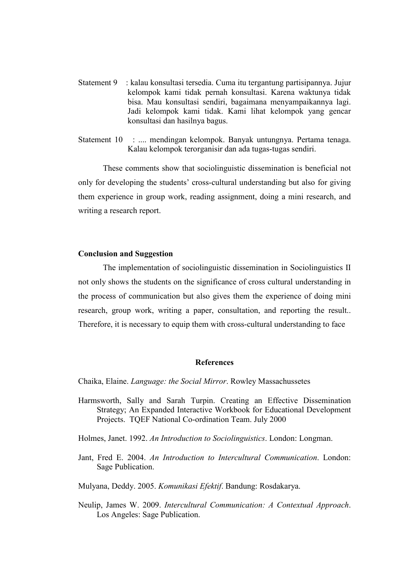- Statement 9 : kalau konsultasi tersedia. Cuma itu tergantung partisipannya. Jujur kelompok kami tidak pernah konsultasi. Karena waktunya tidak bisa. Mau konsultasi sendiri, bagaimana menyampaikannya lagi. Jadi kelompok kami tidak. Kami lihat kelompok yang gencar konsultasi dan hasilnya bagus.
- Statement 10 : .... mendingan kelompok. Banyak untungnya. Pertama tenaga. Kalau kelompok terorganisir dan ada tugas-tugas sendiri.

These comments show that sociolinguistic dissemination is beneficial not only for developing the students' cross-cultural understanding but also for giving them experience in group work, reading assignment, doing a mini research, and writing a research report.

## Conclusion and Suggestion

The implementation of sociolinguistic dissemination in Sociolinguistics II not only shows the students on the significance of cross cultural understanding in the process of communication but also gives them the experience of doing mini research, group work, writing a paper, consultation, and reporting the result.. Therefore, it is necessary to equip them with cross-cultural understanding to face

#### **References**

Chaika, Elaine. Language: the Social Mirror. Rowley Massachussetes

- Harmsworth, Sally and Sarah Turpin. Creating an Effective Dissemination Strategy; An Expanded Interactive Workbook for Educational Development Projects. TQEF National Co-ordination Team. July 2000
- Holmes, Janet. 1992. An Introduction to Sociolinguistics. London: Longman.
- Jant, Fred E. 2004. An Introduction to Intercultural Communication. London: Sage Publication.

Mulyana, Deddy. 2005. Komunikasi Efektif. Bandung: Rosdakarya.

Neulip, James W. 2009. Intercultural Communication: A Contextual Approach. Los Angeles: Sage Publication.